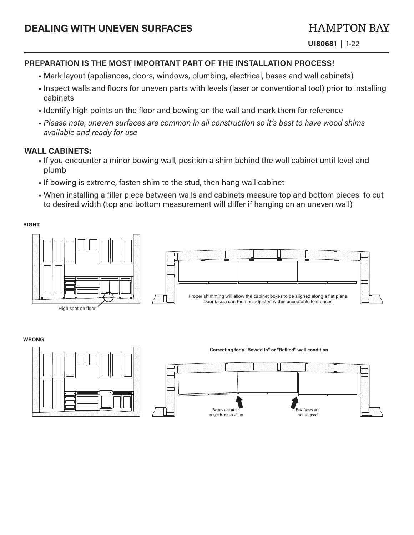**U180681** | 1-22

## **PREPARATION IS THE MOST IMPORTANT PART OF THE INSTALLATION PROCESS!**

- Mark layout (appliances, doors, windows, plumbing, electrical, bases and wall cabinets)
- Inspect walls and floors for uneven parts with levels (laser or conventional tool) prior to installing cabinets
- Identify high points on the floor and bowing on the wall and mark them for reference
- *Please note, uneven surfaces are common in all construction so it's best to have wood shims available and ready for use*

#### **WALL CABINETS:**

- If you encounter a minor bowing wall, position a shim behind the wall cabinet until level and plumb
- If bowing is extreme, fasten shim to the stud, then hang wall cabinet
- When installing a filler piece between walls and cabinets measure top and bottom pieces to cut to desired width (top and bottom measurement will differ if hanging on an uneven wall)

**RIGHT**



#### **WRONG**